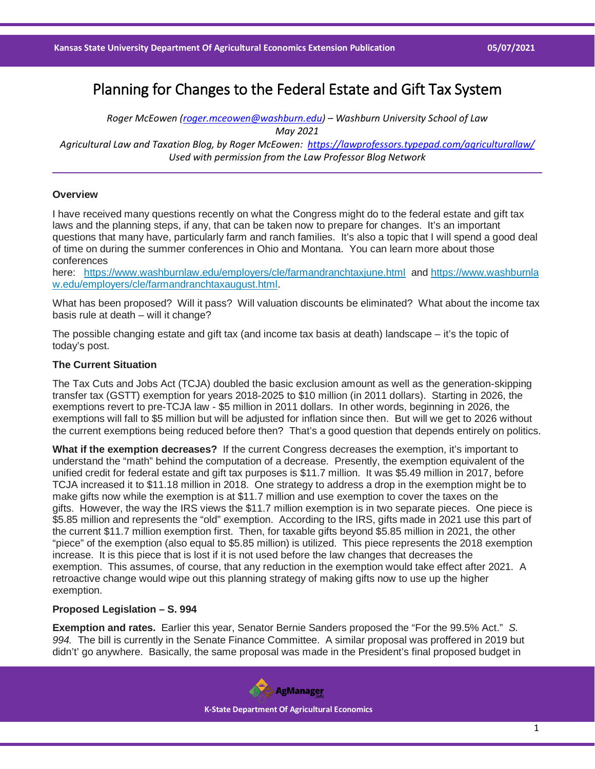# Planning for Changes to the Federal Estate and Gift Tax System

*Roger McEowen [\(roger.mceowen@washburn.edu\)](mailto:roger.mceowen@washburn.edu) – Washburn University School of Law May 2021 Agricultural Law and Taxation Blog, by Roger McEowen:<https://lawprofessors.typepad.com/agriculturallaw/>*

*Used with permission from the Law Professor Blog Network*

## **Overview**

I have received many questions recently on what the Congress might do to the federal estate and gift tax laws and the planning steps, if any, that can be taken now to prepare for changes. It's an important questions that many have, particularly farm and ranch families. It's also a topic that I will spend a good deal of time on during the summer conferences in Ohio and Montana. You can learn more about those conferences

here: <https://www.washburnlaw.edu/employers/cle/farmandranchtaxjune.html> and [https://www.washburnla](https://www.washburnlaw.edu/employers/cle/farmandranchtaxaugust.html) [w.edu/employers/cle/farmandranchtaxaugust.html.](https://www.washburnlaw.edu/employers/cle/farmandranchtaxaugust.html)

What has been proposed? Will it pass? Will valuation discounts be eliminated? What about the income tax basis rule at death – will it change?

The possible changing estate and gift tax (and income tax basis at death) landscape – it's the topic of today's post.

### **The Current Situation**

The Tax Cuts and Jobs Act (TCJA) doubled the basic exclusion amount as well as the generation-skipping transfer tax (GSTT) exemption for years 2018-2025 to \$10 million (in 2011 dollars). Starting in 2026, the exemptions revert to pre-TCJA law - \$5 million in 2011 dollars. In other words, beginning in 2026, the exemptions will fall to \$5 million but will be adjusted for inflation since then. But will we get to 2026 without the current exemptions being reduced before then? That's a good question that depends entirely on politics.

**What if the exemption decreases?** If the current Congress decreases the exemption, it's important to understand the "math" behind the computation of a decrease. Presently, the exemption equivalent of the unified credit for federal estate and gift tax purposes is \$11.7 million. It was \$5.49 million in 2017, before TCJA increased it to \$11.18 million in 2018. One strategy to address a drop in the exemption might be to make gifts now while the exemption is at \$11.7 million and use exemption to cover the taxes on the gifts. However, the way the IRS views the \$11.7 million exemption is in two separate pieces. One piece is \$5.85 million and represents the "old" exemption. According to the IRS, gifts made in 2021 use this part of the current \$11.7 million exemption first. Then, for taxable gifts beyond \$5.85 million in 2021, the other "piece" of the exemption (also equal to \$5.85 million) is utilized. This piece represents the 2018 exemption increase. It is this piece that is lost if it is not used before the law changes that decreases the exemption. This assumes, of course, that any reduction in the exemption would take effect after 2021. A retroactive change would wipe out this planning strategy of making gifts now to use up the higher exemption.

### **Proposed Legislation – S. 994**

**Exemption and rates.** Earlier this year, Senator Bernie Sanders proposed the "For the 99.5% Act." *S. 994.* The bill is currently in the Senate Finance Committee. A similar proposal was proffered in 2019 but didn't' go anywhere. Basically, the same proposal was made in the President's final proposed budget in

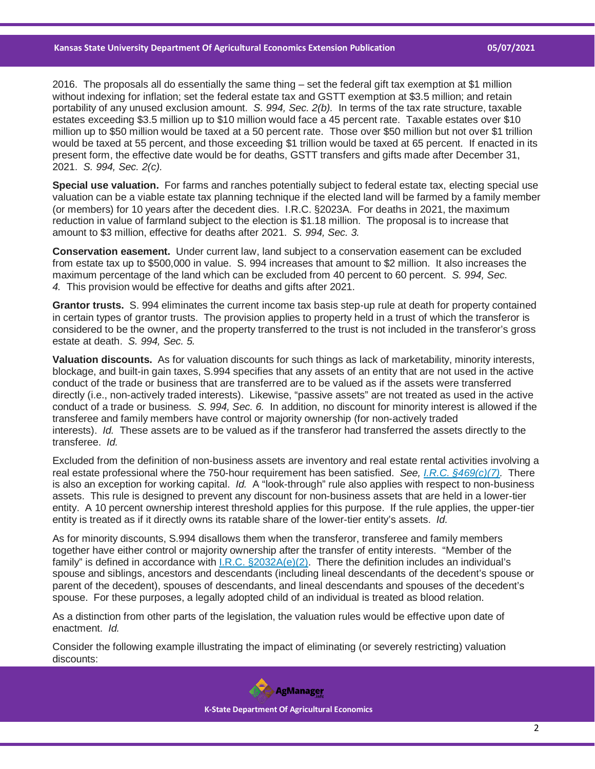2016. The proposals all do essentially the same thing – set the federal gift tax exemption at \$1 million without indexing for inflation; set the federal estate tax and GSTT exemption at \$3.5 million; and retain portability of any unused exclusion amount. *S. 994, Sec. 2(b).* In terms of the tax rate structure, taxable estates exceeding \$3.5 million up to \$10 million would face a 45 percent rate. Taxable estates over \$10 million up to \$50 million would be taxed at a 50 percent rate. Those over \$50 million but not over \$1 trillion would be taxed at 55 percent, and those exceeding \$1 trillion would be taxed at 65 percent. If enacted in its present form, the effective date would be for deaths, GSTT transfers and gifts made after December 31, 2021. *S. 994, Sec. 2(c).*

**Special use valuation.** For farms and ranches potentially subject to federal estate tax, electing special use valuation can be a viable estate tax planning technique if the elected land will be farmed by a family member (or members) for 10 years after the decedent dies. I.R.C. §2023A. For deaths in 2021, the maximum reduction in value of farmland subject to the election is \$1.18 million. The proposal is to increase that amount to \$3 million, effective for deaths after 2021. *S. 994, Sec. 3.*

**Conservation easement.** Under current law, land subject to a conservation easement can be excluded from estate tax up to \$500,000 in value. S. 994 increases that amount to \$2 million. It also increases the maximum percentage of the land which can be excluded from 40 percent to 60 percent. *S. 994, Sec. 4.* This provision would be effective for deaths and gifts after 2021.

**Grantor trusts.** S. 994 eliminates the current income tax basis step-up rule at death for property contained in certain types of grantor trusts. The provision applies to property held in a trust of which the transferor is considered to be the owner, and the property transferred to the trust is not included in the transferor's gross estate at death. *S. 994, Sec. 5.*

**Valuation discounts.** As for valuation discounts for such things as lack of marketability, minority interests, blockage, and built-in gain taxes, S.994 specifies that any assets of an entity that are not used in the active conduct of the trade or business that are transferred are to be valued as if the assets were transferred directly (i.e., non-actively traded interests). Likewise, "passive assets" are not treated as used in the active conduct of a trade or business*. S. 994, Sec. 6.* In addition, no discount for minority interest is allowed if the transferee and family members have control or majority ownership (for non-actively traded interests). *Id.* These assets are to be valued as if the transferor had transferred the assets directly to the transferee. *Id.*

Excluded from the definition of non-business assets are inventory and real estate rental activities involving a real estate professional where the 750-hour requirement has been satisfied. *See, [I.R.C. §469\(c\)\(7\).](https://casetext.com/statute/united-states-code/title-26-internal-revenue-code/subtitle-a-income-taxes/chapter-1-normal-taxes-and-surtaxes/subchapter-e-accounting-periods-and-methods-of-accounting/part-ii-methods-of-accounting/subpart-c-taxable-year-for-which-deductions-taken/section-469-passive-activity-losses-and-credits-limited?ref=ArRBZs!6U1o3U)* There is also an exception for working capital. *Id.* A "look-through" rule also applies with respect to non-business assets. This rule is designed to prevent any discount for non-business assets that are held in a lower-tier entity. A 10 percent ownership interest threshold applies for this purpose. If the rule applies, the upper-tier entity is treated as if it directly owns its ratable share of the lower-tier entity's assets. *Id.*

As for minority discounts, S.994 disallows them when the transferor, transferee and family members together have either control or majority ownership after the transfer of entity interests. "Member of the family" is defined in accordance with  $I.R.C. §2032A(e)(2)$ . There the definition includes an individual's spouse and siblings, ancestors and descendants (including lineal descendants of the decedent's spouse or parent of the decedent), spouses of descendants, and lineal descendants and spouses of the decedent's spouse. For these purposes, a legally adopted child of an individual is treated as blood relation.

As a distinction from other parts of the legislation, the valuation rules would be effective upon date of enactment. *Id.*

Consider the following example illustrating the impact of eliminating (or severely restricting) valuation discounts:

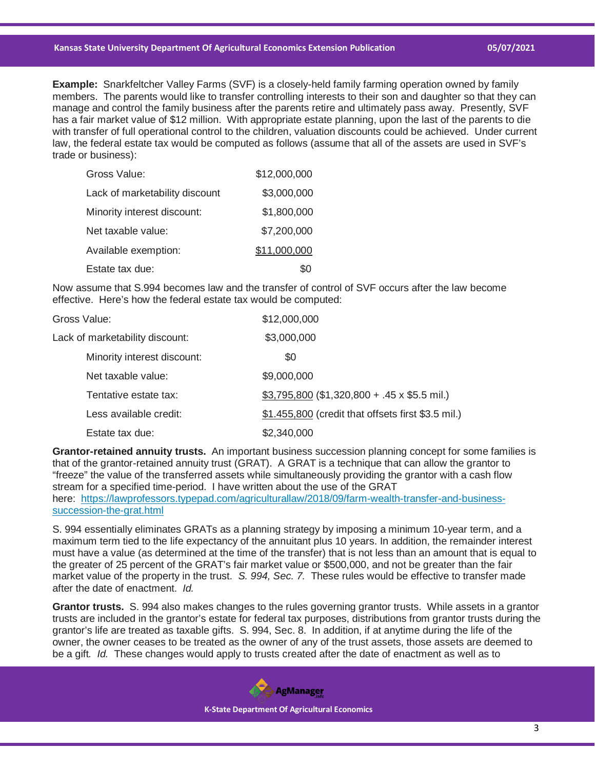#### **Kansas State University Department Of Agricultural Economics Extension Publication 05/07/2021**

**Example:** Snarkfeltcher Valley Farms (SVF) is a closely-held family farming operation owned by family members. The parents would like to transfer controlling interests to their son and daughter so that they can manage and control the family business after the parents retire and ultimately pass away. Presently, SVF has a fair market value of \$12 million. With appropriate estate planning, upon the last of the parents to die with transfer of full operational control to the children, valuation discounts could be achieved. Under current law, the federal estate tax would be computed as follows (assume that all of the assets are used in SVF's trade or business):

| Gross Value:                   | \$12,000,000 |
|--------------------------------|--------------|
| Lack of marketability discount | \$3,000,000  |
| Minority interest discount:    | \$1,800,000  |
| Net taxable value:             | \$7,200,000  |
| Available exemption:           | \$11,000,000 |
| Estate tax due:                |              |

Now assume that S.994 becomes law and the transfer of control of SVF occurs after the law become effective. Here's how the federal estate tax would be computed:

| Gross Value:                    | \$12,000,000                                       |
|---------------------------------|----------------------------------------------------|
| Lack of marketability discount: | \$3,000,000                                        |
| Minority interest discount:     | \$0                                                |
| Net taxable value:              | \$9,000,000                                        |
| Tentative estate tax:           | $$3,795,800 ($1,320,800 + .45 x $5.5$ mil.)        |
| Less available credit:          | \$1.455,800 (credit that offsets first \$3.5 mil.) |
| Estate tax due:                 | \$2,340,000                                        |

**Grantor-retained annuity trusts.** An important business succession planning concept for some families is that of the grantor-retained annuity trust (GRAT). A GRAT is a technique that can allow the grantor to "freeze" the value of the transferred assets while simultaneously providing the grantor with a cash flow stream for a specified time-period. I have written about the use of the GRAT here: [https://lawprofessors.typepad.com/agriculturallaw/2018/09/farm-wealth-transfer-and-business](https://lawprofessors.typepad.com/agriculturallaw/2018/09/farm-wealth-transfer-and-business-succession-the-grat.html)[succession-the-grat.html](https://lawprofessors.typepad.com/agriculturallaw/2018/09/farm-wealth-transfer-and-business-succession-the-grat.html)

S. 994 essentially eliminates GRATs as a planning strategy by imposing a minimum 10-year term, and a maximum term tied to the life expectancy of the annuitant plus 10 years. In addition, the remainder interest must have a value (as determined at the time of the transfer) that is not less than an amount that is equal to the greater of 25 percent of the GRAT's fair market value or \$500,000, and not be greater than the fair market value of the property in the trust. *S. 994, Sec. 7.* These rules would be effective to transfer made after the date of enactment. *Id.*

**Grantor trusts.** S. 994 also makes changes to the rules governing grantor trusts. While assets in a grantor trusts are included in the grantor's estate for federal tax purposes, distributions from grantor trusts during the grantor's life are treated as taxable gifts. S. 994, Sec. 8. In addition, if at anytime during the life of the owner, the owner ceases to be treated as the owner of any of the trust assets, those assets are deemed to be a gift*. Id.* These changes would apply to trusts created after the date of enactment as well as to